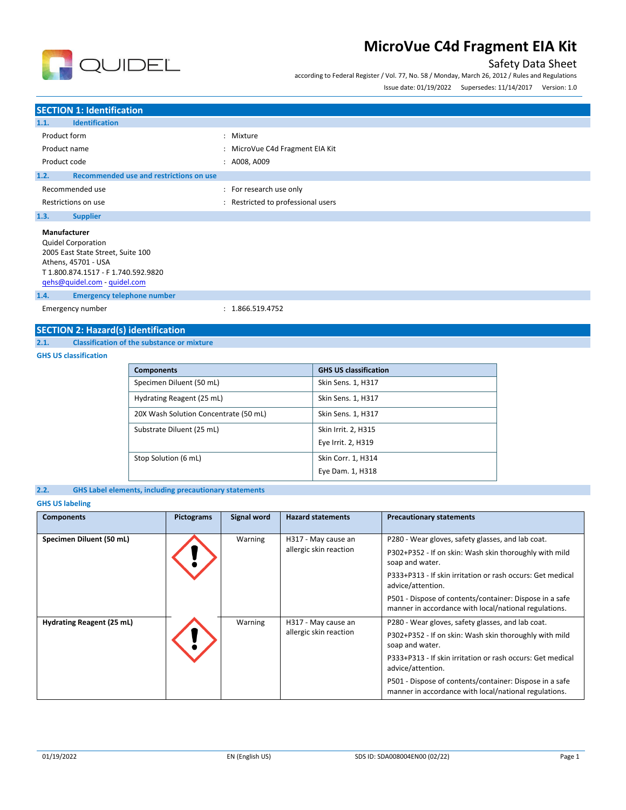

## Safety Data Sheet

according to Federal Register / Vol. 77, No. 58 / Monday, March 26, 2012 / Rules and Regulations

| Issue date: 01/19/2022 | Supersedes: 11/14/2017 | Version: 1.0 |
|------------------------|------------------------|--------------|
|                        |                        |              |

## **SECTION 1: Identification 1.1. Identification** Product form  $\qquad \qquad : \qquad$  Mixture Product name **in the set of the CAL CALCE CALCE CALCE CALCE CALCE CALCE CALCE CALCE CALCE CALCE CALCE CALCE CALCE CALCE CALCE CALCE CALCE CALCE CALCE CALCE CALCE CALCE CALCE CALCE CALCE CALCE CALCE CALCE CALCE CALCE CALCE** Product code : A008, A009 **1.2. Recommended use and restrictions on use** Recommended use  $\blacksquare$ : For research use only Restrictions on use **interest in the COV** and Restricted to professional users **1.3. Supplier Manufacturer** Quidel Corporation 2005 East State Street, Suite 100 Athens, 45701 - USA T 1.800.874.1517 - F 1.740.592.9820 [qehs@quidel.com](mailto:qehs@quidel.com) - [quidel.com](http://quidel.com/)

**1.4. Emergency telephone number**

Emergency number : 1.866.519.4752

## **SECTION 2: Hazard(s) identification**

## **2.1. Classification of the substance or mixture**

**GHS US classification**

| <b>Components</b>                     | <b>GHS US classification</b> |
|---------------------------------------|------------------------------|
| Specimen Diluent (50 mL)              | Skin Sens. 1, H317           |
| Hydrating Reagent (25 mL)             | Skin Sens. 1, H317           |
| 20X Wash Solution Concentrate (50 mL) | Skin Sens. 1, H317           |
| Substrate Diluent (25 mL)             | Skin Irrit. 2, H315          |
|                                       | Eye Irrit. 2, H319           |
| Stop Solution (6 mL)                  | Skin Corr. 1, H314           |
|                                       | Eye Dam. 1, H318             |

```
2.2. GHS Label elements, including precautionary statements
```
## **GHS US labeling**

| <b>Components</b>         | <b>Pictograms</b> | Signal word | <b>Hazard statements</b>                      | <b>Precautionary statements</b>                                                                                                                                                                                                                                                                                                       |
|---------------------------|-------------------|-------------|-----------------------------------------------|---------------------------------------------------------------------------------------------------------------------------------------------------------------------------------------------------------------------------------------------------------------------------------------------------------------------------------------|
| Specimen Diluent (50 mL)  |                   | Warning     | H317 - May cause an<br>allergic skin reaction | P280 - Wear gloves, safety glasses, and lab coat.<br>P302+P352 - If on skin: Wash skin thoroughly with mild<br>soap and water.<br>P333+P313 - If skin irritation or rash occurs: Get medical<br>advice/attention.<br>P501 - Dispose of contents/container: Dispose in a safe<br>manner in accordance with local/national regulations. |
| Hydrating Reagent (25 mL) |                   | Warning     | H317 - May cause an<br>allergic skin reaction | P280 - Wear gloves, safety glasses, and lab coat.<br>P302+P352 - If on skin: Wash skin thoroughly with mild<br>soap and water.<br>P333+P313 - If skin irritation or rash occurs: Get medical<br>advice/attention.<br>P501 - Dispose of contents/container: Dispose in a safe<br>manner in accordance with local/national regulations. |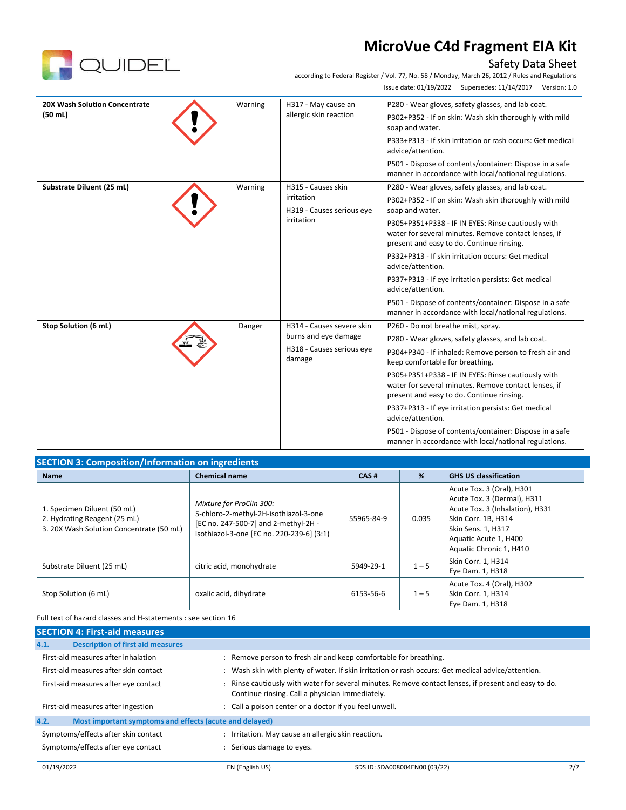

## Safety Data Sheet

according to Federal Register / Vol. 77, No. 58 / Monday, March 26, 2012 / Rules and Regulations Issue date: 01/19/2022 Supersedes: 11/14/2017 Version: 1.0

| 20X Wash Solution Concentrate | Warning | H317 - May cause an                                         | P280 - Wear gloves, safety glasses, and lab coat.                                                                                                       |
|-------------------------------|---------|-------------------------------------------------------------|---------------------------------------------------------------------------------------------------------------------------------------------------------|
| (50 ml)                       |         | allergic skin reaction                                      | P302+P352 - If on skin: Wash skin thoroughly with mild<br>soap and water.                                                                               |
|                               |         |                                                             | P333+P313 - If skin irritation or rash occurs: Get medical<br>advice/attention.                                                                         |
|                               |         |                                                             | P501 - Dispose of contents/container: Dispose in a safe<br>manner in accordance with local/national regulations.                                        |
| Substrate Diluent (25 mL)     | Warning | H315 - Causes skin                                          | P280 - Wear gloves, safety glasses, and lab coat.                                                                                                       |
|                               |         | irritation<br>H319 - Causes serious eye<br>irritation       | P302+P352 - If on skin: Wash skin thoroughly with mild<br>soap and water.                                                                               |
|                               |         |                                                             | P305+P351+P338 - IF IN EYES: Rinse cautiously with<br>water for several minutes. Remove contact lenses, if<br>present and easy to do. Continue rinsing. |
|                               |         |                                                             | P332+P313 - If skin irritation occurs: Get medical<br>advice/attention.                                                                                 |
|                               |         |                                                             | P337+P313 - If eye irritation persists: Get medical<br>advice/attention.                                                                                |
|                               |         |                                                             | P501 - Dispose of contents/container: Dispose in a safe<br>manner in accordance with local/national regulations.                                        |
| Stop Solution (6 mL)          | Danger  | H314 - Causes severe skin                                   | P260 - Do not breathe mist, spray.                                                                                                                      |
|                               |         | burns and eye damage<br>H318 - Causes serious eye<br>damage | P280 - Wear gloves, safety glasses, and lab coat.                                                                                                       |
|                               |         |                                                             | P304+P340 - If inhaled: Remove person to fresh air and<br>keep comfortable for breathing.                                                               |
|                               |         |                                                             | P305+P351+P338 - IF IN EYES: Rinse cautiously with<br>water for several minutes. Remove contact lenses, if<br>present and easy to do. Continue rinsing. |
|                               |         |                                                             | P337+P313 - If eye irritation persists: Get medical<br>advice/attention.                                                                                |
|                               |         |                                                             | P501 - Dispose of contents/container: Dispose in a safe<br>manner in accordance with local/national regulations.                                        |

| <b>SECTION 3: Composition/Information on ingredients</b>                                                |                                                                                                                                                        |            |         |                                                                                                                                                                                              |  |  |  |
|---------------------------------------------------------------------------------------------------------|--------------------------------------------------------------------------------------------------------------------------------------------------------|------------|---------|----------------------------------------------------------------------------------------------------------------------------------------------------------------------------------------------|--|--|--|
| <b>Name</b>                                                                                             | <b>Chemical name</b>                                                                                                                                   | CAS#       | %       | <b>GHS US classification</b>                                                                                                                                                                 |  |  |  |
| 1. Specimen Diluent (50 mL)<br>2. Hydrating Reagent (25 mL)<br>3. 20X Wash Solution Concentrate (50 mL) | Mixture for ProClin 300:<br>5-chloro-2-methyl-2H-isothiazol-3-one<br>[EC no. 247-500-7] and 2-methyl-2H -<br>isothiazol-3-one [EC no. 220-239-6] (3:1) | 55965-84-9 | 0.035   | Acute Tox. 3 (Oral), H301<br>Acute Tox. 3 (Dermal), H311<br>Acute Tox. 3 (Inhalation), H331<br>Skin Corr. 1B, H314<br>Skin Sens. 1, H317<br>Aquatic Acute 1, H400<br>Aquatic Chronic 1, H410 |  |  |  |
| Substrate Diluent (25 mL)                                                                               | citric acid, monohydrate                                                                                                                               | 5949-29-1  | $1 - 5$ | Skin Corr. 1, H314<br>Eye Dam. 1, H318                                                                                                                                                       |  |  |  |
| Stop Solution (6 mL)                                                                                    | oxalic acid, dihydrate                                                                                                                                 | 6153-56-6  | $1 - 5$ | Acute Tox. 4 (Oral), H302<br>Skin Corr. 1, H314<br>Eye Dam. 1, H318                                                                                                                          |  |  |  |

Full text of hazard classes and H-statements : see section 16

| <b>SECTION 4: First-aid measures</b>                            |                                                                                                                                                       |  |
|-----------------------------------------------------------------|-------------------------------------------------------------------------------------------------------------------------------------------------------|--|
| <b>Description of first aid measures</b><br>4.1.                |                                                                                                                                                       |  |
| First-aid measures after inhalation                             | Remove person to fresh air and keep comfortable for breathing.                                                                                        |  |
| First-aid measures after skin contact                           | Wash skin with plenty of water. If skin irritation or rash occurs: Get medical advice/attention.                                                      |  |
| First-aid measures after eye contact                            | Rinse cautiously with water for several minutes. Remove contact lenses, if present and easy to do.<br>Continue rinsing. Call a physician immediately. |  |
| First-aid measures after ingestion                              | Call a poison center or a doctor if you feel unwell.                                                                                                  |  |
| 4.2.<br>Most important symptoms and effects (acute and delayed) |                                                                                                                                                       |  |
| Symptoms/effects after skin contact                             | Irritation. May cause an allergic skin reaction.                                                                                                      |  |
| Symptoms/effects after eye contact                              | Serious damage to eyes.                                                                                                                               |  |
|                                                                 |                                                                                                                                                       |  |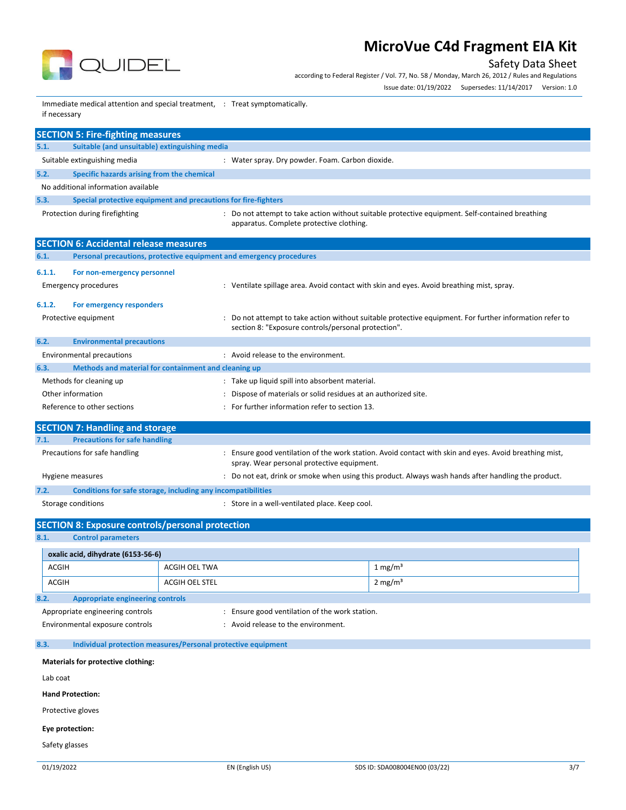

Safety Data Sheet

according to Federal Register / Vol. 77, No. 58 / Monday, March 26, 2012 / Rules and Regulations Issue date: 01/19/2022 Supersedes: 11/14/2017 Version: 1.0

Immediate medical attention and special treatment, : Treat symptomatically. if necessary

|        | <b>SECTION 5: Fire-fighting measures</b>                                         |  |                                                                                                                                                              |  |
|--------|----------------------------------------------------------------------------------|--|--------------------------------------------------------------------------------------------------------------------------------------------------------------|--|
| 5.1.   | Suitable (and unsuitable) extinguishing media                                    |  |                                                                                                                                                              |  |
|        | Suitable extinguishing media<br>: Water spray. Dry powder. Foam. Carbon dioxide. |  |                                                                                                                                                              |  |
| 5.2.   | Specific hazards arising from the chemical                                       |  |                                                                                                                                                              |  |
|        | No additional information available                                              |  |                                                                                                                                                              |  |
| 5.3.   | Special protective equipment and precautions for fire-fighters                   |  |                                                                                                                                                              |  |
|        | Protection during firefighting                                                   |  | : Do not attempt to take action without suitable protective equipment. Self-contained breathing<br>apparatus. Complete protective clothing.                  |  |
|        | <b>SECTION 6: Accidental release measures</b>                                    |  |                                                                                                                                                              |  |
| 6.1.   | Personal precautions, protective equipment and emergency procedures              |  |                                                                                                                                                              |  |
| 6.1.1. | For non-emergency personnel                                                      |  |                                                                                                                                                              |  |
|        | <b>Emergency procedures</b>                                                      |  | : Ventilate spillage area. Avoid contact with skin and eyes. Avoid breathing mist, spray.                                                                    |  |
| 6.1.2. | For emergency responders                                                         |  |                                                                                                                                                              |  |
|        | Protective equipment                                                             |  | Do not attempt to take action without suitable protective equipment. For further information refer to<br>section 8: "Exposure controls/personal protection". |  |
| 6.2.   | <b>Environmental precautions</b>                                                 |  |                                                                                                                                                              |  |
|        | <b>Environmental precautions</b>                                                 |  | : Avoid release to the environment.                                                                                                                          |  |
| 6.3.   | Methods and material for containment and cleaning up                             |  |                                                                                                                                                              |  |
|        | Methods for cleaning up                                                          |  | : Take up liquid spill into absorbent material.                                                                                                              |  |
|        | Other information                                                                |  | Dispose of materials or solid residues at an authorized site.                                                                                                |  |
|        | Reference to other sections                                                      |  | For further information refer to section 13.                                                                                                                 |  |
|        | <b>SECTION 7: Handling and storage</b>                                           |  |                                                                                                                                                              |  |
| 7.1.   | <b>Precautions for safe handling</b>                                             |  |                                                                                                                                                              |  |
|        | Precautions for safe handling                                                    |  | Ensure good ventilation of the work station. Avoid contact with skin and eyes. Avoid breathing mist,<br>spray. Wear personal protective equipment.           |  |
|        | Hygiene measures                                                                 |  | Do not eat, drink or smoke when using this product. Always wash hands after handling the product.                                                            |  |
| 7.2.   | Conditions for safe storage, including any incompatibilities                     |  |                                                                                                                                                              |  |
|        | Storage conditions                                                               |  | : Store in a well-ventilated place. Keep cool.                                                                                                               |  |

## **SECTION 8: Exposure controls/personal protection**

**8.1. Control parameters**

|                                  | oxalic acid, dihydrate (6153-56-6)      |                |                                              |                    |  |
|----------------------------------|-----------------------------------------|----------------|----------------------------------------------|--------------------|--|
| ACGIH                            |                                         | ACGIH OEL TWA  |                                              | $1 \text{ mg/m}^3$ |  |
| ACGIH                            |                                         | ACGIH OEL STEL |                                              | $2 \text{ mg/m}^3$ |  |
| 8.2.                             | <b>Appropriate engineering controls</b> |                |                                              |                    |  |
| Appropriate engineering controls |                                         |                | Ensure good ventilation of the work station. |                    |  |
| Environmental exposure controls  |                                         |                | Avoid release to the environment.            |                    |  |
|                                  |                                         |                |                                              |                    |  |

## **8.3. Individual protection measures/Personal protective equipment**

| Materials for protective clothing: |
|------------------------------------|
| Lab coat                           |
| <b>Hand Protection:</b>            |
| Protective gloves                  |
| Eye protection:                    |

Safety glasses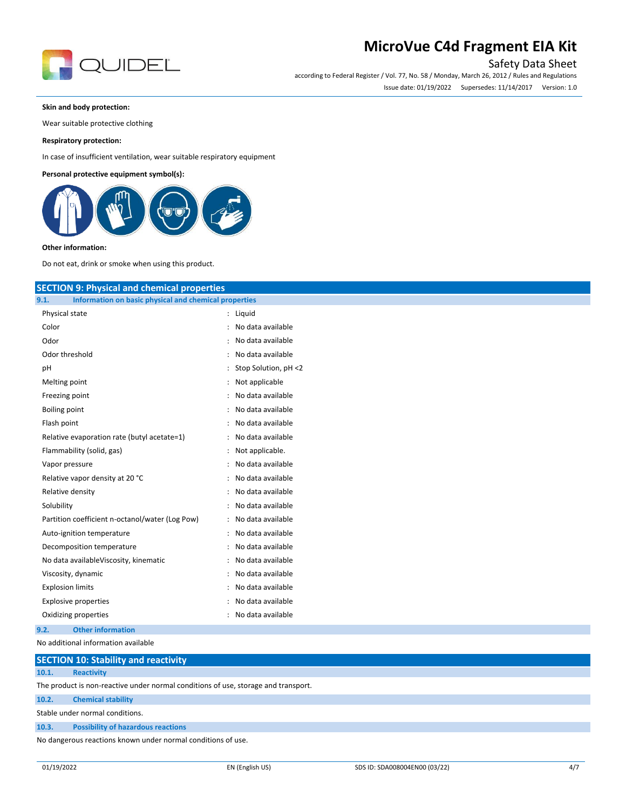

## Safety Data Sheet

according to Federal Register / Vol. 77, No. 58 / Monday, March 26, 2012 / Rules and Regulations Issue date: 01/19/2022 Supersedes: 11/14/2017 Version: 1.0

## **Skin and body protection:**

Wear suitable protective clothing

## **Respiratory protection:**

In case of insufficient ventilation, wear suitable respiratory equipment

## **Personal protective equipment symbol(s):**



#### **Other information:**

Do not eat, drink or smoke when using this product.

| <b>SECTION 9: Physical and chemical properties</b>            |                        |  |  |  |
|---------------------------------------------------------------|------------------------|--|--|--|
| Information on basic physical and chemical properties<br>9.1. |                        |  |  |  |
| Physical state                                                | : Liquid               |  |  |  |
| Color                                                         | : No data available    |  |  |  |
| Odor                                                          | : No data available    |  |  |  |
| Odor threshold                                                | : No data available    |  |  |  |
| рH                                                            | : Stop Solution, pH <2 |  |  |  |
| Melting point                                                 | : Not applicable       |  |  |  |
| Freezing point                                                | : No data available    |  |  |  |
| Boiling point                                                 | : No data available    |  |  |  |
| Flash point                                                   | : No data available    |  |  |  |
| Relative evaporation rate (butyl acetate=1)                   | : No data available    |  |  |  |
| Flammability (solid, gas)                                     | : Not applicable.      |  |  |  |
| Vapor pressure                                                | : No data available    |  |  |  |
| Relative vapor density at 20 °C                               | : No data available    |  |  |  |
| Relative density                                              | : No data available    |  |  |  |
| Solubility                                                    | : No data available    |  |  |  |
| Partition coefficient n-octanol/water (Log Pow)               | : No data available    |  |  |  |
| Auto-ignition temperature                                     | : No data available    |  |  |  |
| Decomposition temperature                                     | : No data available    |  |  |  |
| No data availableViscosity, kinematic                         | : No data available    |  |  |  |
| Viscosity, dynamic                                            | : No data available    |  |  |  |
| <b>Explosion limits</b>                                       | : No data available    |  |  |  |
| <b>Explosive properties</b>                                   | : No data available    |  |  |  |
| Oxidizing properties                                          | : No data available    |  |  |  |
| <b>Other information</b><br>9.2.                              |                        |  |  |  |
| No additional information available                           |                        |  |  |  |

| SECTION ID: Stability and reactivity                         |                                                                                    |  |  |  |
|--------------------------------------------------------------|------------------------------------------------------------------------------------|--|--|--|
| 10.1.                                                        | <b>Reactivity</b>                                                                  |  |  |  |
|                                                              | The product is non-reactive under normal conditions of use, storage and transport. |  |  |  |
| 10.2.                                                        | <b>Chemical stability</b>                                                          |  |  |  |
| Stable under normal conditions.                              |                                                                                    |  |  |  |
| 10.3.                                                        | <b>Possibility of hazardous reactions</b>                                          |  |  |  |
| No dangerous reactions known under normal conditions of use. |                                                                                    |  |  |  |

**SECTION 10: Stability and reactivity**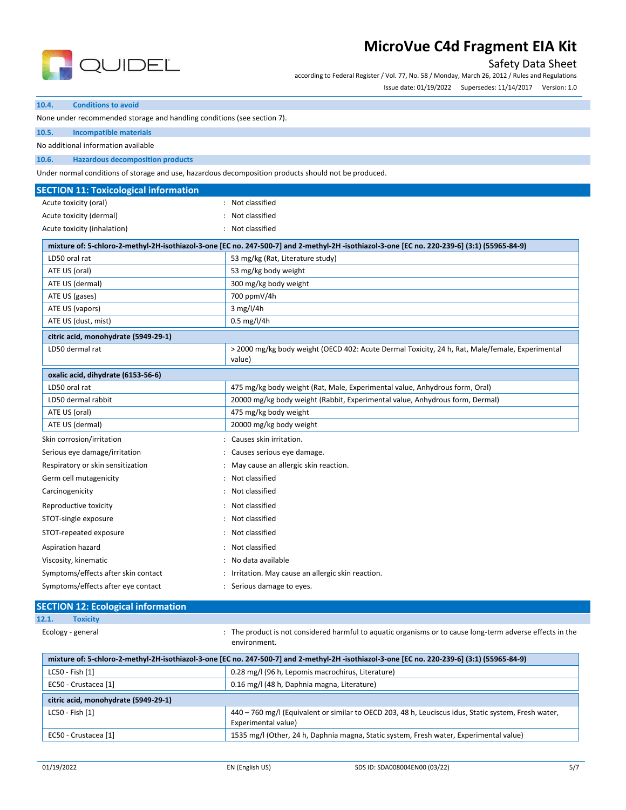

## Safety Data Sheet

according to Federal Register / Vol. 77, No. 58 / Monday, March 26, 2012 / Rules and Regulations Issue date: 01/19/2022 Supersedes: 11/14/2017 Version: 1.0

### **10.4. Conditions to avoid**

None under recommended storage and handling conditions (see section 7).

**10.5. Incompatible materials**

No additional information available

**10.6. Hazardous decomposition products**

Under normal conditions of storage and use, hazardous decomposition products should not be produced.

| <b>SECTION 11: Toxicological information</b> |                                                                                                                                             |
|----------------------------------------------|---------------------------------------------------------------------------------------------------------------------------------------------|
| Acute toxicity (oral)                        | Not classified                                                                                                                              |
| Acute toxicity (dermal)                      | Not classified                                                                                                                              |
| Acute toxicity (inhalation)                  | : Not classified                                                                                                                            |
|                                              | mixture of: 5-chloro-2-methyl-2H-isothiazol-3-one [EC no. 247-500-7] and 2-methyl-2H-isothiazol-3-one [EC no. 220-239-6] (3:1) (55965-84-9) |
| LD50 oral rat                                | 53 mg/kg (Rat, Literature study)                                                                                                            |
| ATE US (oral)                                | 53 mg/kg body weight                                                                                                                        |
| ATE US (dermal)                              | 300 mg/kg body weight                                                                                                                       |
| ATE US (gases)                               | 700 ppmV/4h                                                                                                                                 |
| ATE US (vapors)                              | $3$ mg/l/4h                                                                                                                                 |
| ATE US (dust, mist)                          | $0.5 \,\mathrm{mg}/l/4h$                                                                                                                    |
| citric acid, monohydrate (5949-29-1)         |                                                                                                                                             |
| LD50 dermal rat                              | > 2000 mg/kg body weight (OECD 402: Acute Dermal Toxicity, 24 h, Rat, Male/female, Experimental<br>value)                                   |
| oxalic acid, dihydrate (6153-56-6)           |                                                                                                                                             |
| LD50 oral rat                                | 475 mg/kg body weight (Rat, Male, Experimental value, Anhydrous form, Oral)                                                                 |
| LD50 dermal rabbit                           | 20000 mg/kg body weight (Rabbit, Experimental value, Anhydrous form, Dermal)                                                                |
| ATE US (oral)                                | 475 mg/kg body weight                                                                                                                       |
| ATE US (dermal)                              | 20000 mg/kg body weight                                                                                                                     |
| Skin corrosion/irritation                    | : Causes skin irritation.                                                                                                                   |
| Serious eye damage/irritation                | : Causes serious eye damage.                                                                                                                |
| Respiratory or skin sensitization            | : May cause an allergic skin reaction.                                                                                                      |
| Germ cell mutagenicity                       | Not classified                                                                                                                              |
| Carcinogenicity                              | Not classified                                                                                                                              |
| Reproductive toxicity                        | Not classified                                                                                                                              |
| STOT-single exposure                         | : Not classified                                                                                                                            |
| STOT-repeated exposure                       | Not classified                                                                                                                              |
| Aspiration hazard                            | Not classified                                                                                                                              |
| Viscosity, kinematic                         | No data available                                                                                                                           |
| Symptoms/effects after skin contact          | : Irritation. May cause an allergic skin reaction.                                                                                          |

| Symptoms/effects after eye contact |  | : Serious damage to eyes. |
|------------------------------------|--|---------------------------|
|------------------------------------|--|---------------------------|

| <b>SECTION 12: Ecological information</b> |                   |                                                                                                         |
|-------------------------------------------|-------------------|---------------------------------------------------------------------------------------------------------|
| 12.1.                                     | <b>Toxicity</b>   |                                                                                                         |
|                                           | Ecology - general | The product is not considered harmful to aquatic organisms or to cause long-term adverse effects in the |

| mixture of: 5-chloro-2-methyl-2H-isothiazol-3-one [EC no. 247-500-7] and 2-methyl-2H-isothiazol-3-one [EC no. 220-239-6] (3:1) (55965-84-9) |                                                                                                                             |  |  |
|---------------------------------------------------------------------------------------------------------------------------------------------|-----------------------------------------------------------------------------------------------------------------------------|--|--|
| LC50 - Fish [1]                                                                                                                             | 0.28 mg/l (96 h, Lepomis macrochirus, Literature)                                                                           |  |  |
| EC50 - Crustacea [1]                                                                                                                        | 0.16 mg/l (48 h, Daphnia magna, Literature)                                                                                 |  |  |
| citric acid, monohydrate (5949-29-1)                                                                                                        |                                                                                                                             |  |  |
| LC50 - Fish [1]                                                                                                                             | 440 - 760 mg/l (Equivalent or similar to OECD 203, 48 h, Leuciscus idus, Static system, Fresh water,<br>Experimental value) |  |  |
| EC50 - Crustacea [1]                                                                                                                        | 1535 mg/l (Other, 24 h, Daphnia magna, Static system, Fresh water, Experimental value)                                      |  |  |

environment.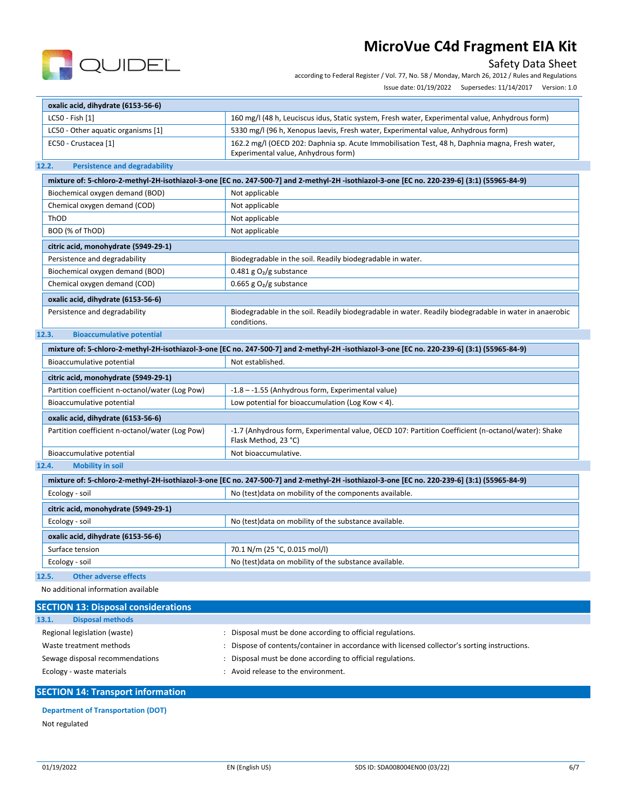

## Safety Data Sheet

according to Federal Register / Vol. 77, No. 58 / Monday, March 26, 2012 / Rules and Regulations

|                                                                 | Issue date: 01/19/2022 Supersedes: 11/14/2017 Version: 1.0                                                                                  |
|-----------------------------------------------------------------|---------------------------------------------------------------------------------------------------------------------------------------------|
| oxalic acid, dihydrate (6153-56-6)                              |                                                                                                                                             |
| LC50 - Fish [1]                                                 | 160 mg/l (48 h, Leuciscus idus, Static system, Fresh water, Experimental value, Anhydrous form)                                             |
| LC50 - Other aquatic organisms [1]                              | 5330 mg/l (96 h, Xenopus laevis, Fresh water, Experimental value, Anhydrous form)                                                           |
| EC50 - Crustacea [1]                                            | 162.2 mg/l (OECD 202: Daphnia sp. Acute Immobilisation Test, 48 h, Daphnia magna, Fresh water,<br>Experimental value, Anhydrous form)       |
| <b>Persistence and degradability</b><br>12.2.                   |                                                                                                                                             |
|                                                                 | mixture of: 5-chloro-2-methyl-2H-isothiazol-3-one [EC no. 247-500-7] and 2-methyl-2H-isothiazol-3-one [EC no. 220-239-6] (3:1) (55965-84-9) |
| Biochemical oxygen demand (BOD)                                 | Not applicable                                                                                                                              |
| Chemical oxygen demand (COD)                                    | Not applicable                                                                                                                              |
| ThOD                                                            | Not applicable                                                                                                                              |
| BOD (% of ThOD)                                                 | Not applicable                                                                                                                              |
| citric acid, monohydrate (5949-29-1)                            |                                                                                                                                             |
| Persistence and degradability                                   | Biodegradable in the soil. Readily biodegradable in water.                                                                                  |
| Biochemical oxygen demand (BOD)                                 | 0.481 g $O2/g$ substance                                                                                                                    |
| Chemical oxygen demand (COD)                                    | 0.665 g $O2/g$ substance                                                                                                                    |
| oxalic acid, dihydrate (6153-56-6)                              |                                                                                                                                             |
| Persistence and degradability                                   | Biodegradable in the soil. Readily biodegradable in water. Readily biodegradable in water in anaerobic<br>conditions.                       |
| 12.3.<br><b>Bioaccumulative potential</b>                       |                                                                                                                                             |
|                                                                 | mixture of: 5-chloro-2-methyl-2H-isothiazol-3-one [EC no. 247-500-7] and 2-methyl-2H-isothiazol-3-one [EC no. 220-239-6] (3:1) (55965-84-9) |
| Bioaccumulative potential                                       | Not established.                                                                                                                            |
| citric acid, monohydrate (5949-29-1)                            |                                                                                                                                             |
| Partition coefficient n-octanol/water (Log Pow)                 | -1.8 - -1.55 (Anhydrous form, Experimental value)                                                                                           |
| Bioaccumulative potential                                       | Low potential for bioaccumulation (Log Kow < 4).                                                                                            |
| oxalic acid, dihydrate (6153-56-6)                              |                                                                                                                                             |
| Partition coefficient n-octanol/water (Log Pow)                 | -1.7 (Anhydrous form, Experimental value, OECD 107: Partition Coefficient (n-octanol/water): Shake<br>Flask Method, 23 °C)                  |
| Bioaccumulative potential                                       | Not bioaccumulative.                                                                                                                        |
| <b>Mobility in soil</b><br>12.4.                                |                                                                                                                                             |
|                                                                 | mixture of: 5-chloro-2-methyl-2H-isothiazol-3-one [EC no. 247-500-7] and 2-methyl-2H-isothiazol-3-one [EC no. 220-239-6] (3:1) (55965-84-9) |
| Ecology - soil                                                  | No (test) data on mobility of the components available.                                                                                     |
| citric acid, monohydrate (5949-29-1)                            |                                                                                                                                             |
| Ecology - soil                                                  | No (test) data on mobility of the substance available.                                                                                      |
| $\mathbf{r}$ and $\mathbf{r}$ and $\mathbf{r}$ and $\mathbf{r}$ |                                                                                                                                             |

| oxalic acid, dihydrate (6153-56-6) |                                                                     |
|------------------------------------|---------------------------------------------------------------------|
| Surface tension                    | 70.1 N/m (25 °C, 0.015 mol/l)                                       |
| Ecology - soil                     | <sup>1</sup> No (test) data on mobility of the substance available. |

## **12.5. Other adverse effects**

No additional information available

| <b>SECTION 13: Disposal considerations</b> |                                                                                             |
|--------------------------------------------|---------------------------------------------------------------------------------------------|
| <b>Disposal methods</b><br>13.1.           |                                                                                             |
| Regional legislation (waste)               | Disposal must be done according to official regulations.                                    |
| Waste treatment methods                    | Dispose of contents/container in accordance with licensed collector's sorting instructions. |
| Sewage disposal recommendations            | Disposal must be done according to official regulations.                                    |
| Ecology - waste materials                  | Avoid release to the environment.                                                           |
|                                            |                                                                                             |

## **SECTION 14: Transport information**

## **Department of Transportation (DOT)**

### Not regulated